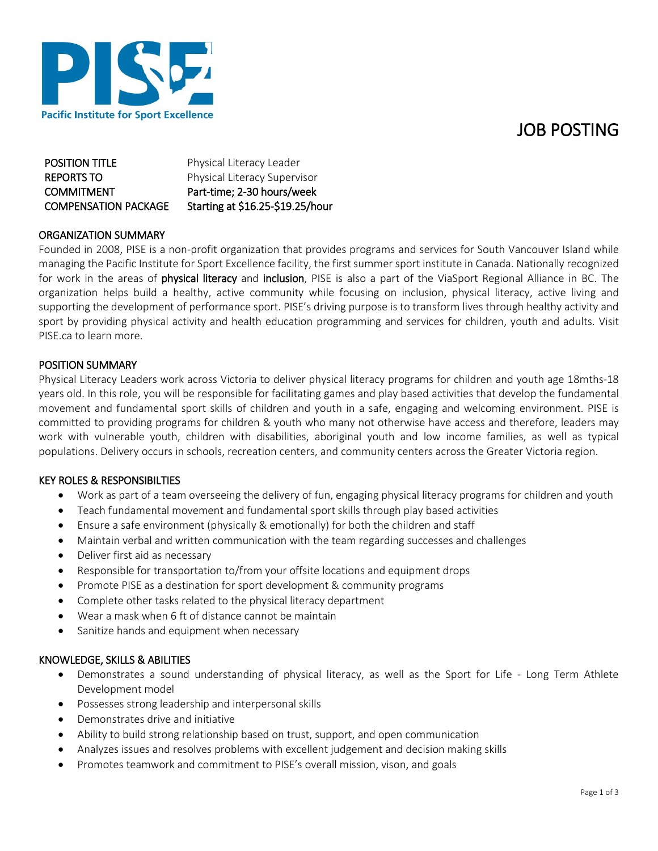## JOB POSTING



**POSITION TITLE** Physical Literacy Leader REPORTS TO Physical Literacy Supervisor COMMITMENT Part-time; 2-30 hours/week COMPENSATION PACKAGE Starting at \$16.25-\$19.25/hour

### ORGANIZATION SUMMARY

Founded in 2008, PISE is a non-profit organization that provides programs and services for South Vancouver Island while managing the Pacific Institute for Sport Excellence facility, the first summer sport institute in Canada. Nationally recognized for work in the areas of physical literacy and inclusion, PISE is also a part of the ViaSport Regional Alliance in BC. The organization helps build a healthy, active community while focusing on inclusion, physical literacy, active living and supporting the development of performance sport. PISE's driving purpose is to transform lives through healthy activity and sport by providing physical activity and health education programming and services for children, youth and adults. Visit PISE.ca to learn more.

### POSITION SUMMARY

Physical Literacy Leaders work across Victoria to deliver physical literacy programs for children and youth age 18mths-18 years old. In this role, you will be responsible for facilitating games and play based activities that develop the fundamental movement and fundamental sport skills of children and youth in a safe, engaging and welcoming environment. PISE is committed to providing programs for children & youth who many not otherwise have access and therefore, leaders may work with vulnerable youth, children with disabilities, aboriginal youth and low income families, as well as typical populations. Delivery occurs in schools, recreation centers, and community centers across the Greater Victoria region.

### KEY ROLES & RESPONSIBILTIES

- Work as part of a team overseeing the delivery of fun, engaging physical literacy programs for children and youth
- Teach fundamental movement and fundamental sport skills through play based activities
- Ensure a safe environment (physically & emotionally) for both the children and staff
- Maintain verbal and written communication with the team regarding successes and challenges
- Deliver first aid as necessary
- Responsible for transportation to/from your offsite locations and equipment drops
- Promote PISE as a destination for sport development & community programs
- Complete other tasks related to the physical literacy department
- Wear a mask when 6 ft of distance cannot be maintain
- Sanitize hands and equipment when necessary

### KNOWLEDGE, SKILLS & ABILITIES

- Demonstrates a sound understanding of physical literacy, as well as the Sport for Life Long Term Athlete Development model
- Possesses strong leadership and interpersonal skills
- Demonstrates drive and initiative
- Ability to build strong relationship based on trust, support, and open communication
- Analyzes issues and resolves problems with excellent judgement and decision making skills
- Promotes teamwork and commitment to PISE's overall mission, vison, and goals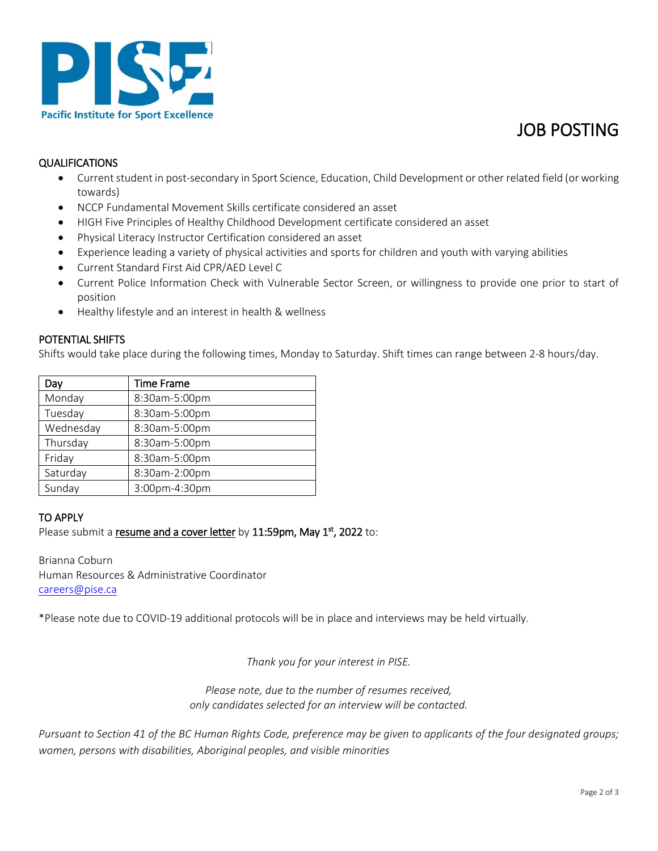

# JOB POSTING

### QUALIFICATIONS

- Current student in post-secondary in Sport Science, Education, Child Development or other related field (or working towards)
- NCCP Fundamental Movement Skills certificate considered an asset
- HIGH Five Principles of Healthy Childhood Development certificate considered an asset
- Physical Literacy Instructor Certification considered an asset
- Experience leading a variety of physical activities and sports for children and youth with varying abilities
- Current Standard First Aid CPR/AED Level C
- Current Police Information Check with Vulnerable Sector Screen, or willingness to provide one prior to start of position
- Healthy lifestyle and an interest in health & wellness

#### POTENTIAL SHIFTS

Shifts would take place during the following times, Monday to Saturday. Shift times can range between 2-8 hours/day.

| Dav       | <b>Time Frame</b> |
|-----------|-------------------|
| Monday    | 8:30am-5:00pm     |
| Tuesday   | 8:30am-5:00pm     |
| Wednesday | 8:30am-5:00pm     |
| Thursday  | 8:30am-5:00pm     |
| Friday    | 8:30am-5:00pm     |
| Saturday  | 8:30am-2:00pm     |
| Sunday    | 3:00pm-4:30pm     |

### TO APPLY

Please submit a resume and a cover letter by 11:59pm, May 1st, 2022 to:

Brianna Coburn Human Resources & Administrative Coordinator [careers@pise.ca](mailto:careers@pise.ca)

\*Please note due to COVID-19 additional protocols will be in place and interviews may be held virtually.

*Thank you for your interest in PISE.*

*Please note, due to the number of resumes received, only candidates selected for an interview will be contacted.*

*Pursuant to Section 41 of the BC Human Rights Code, preference may be given to applicants of the four designated groups; women, persons with disabilities, Aboriginal peoples, and visible minorities*